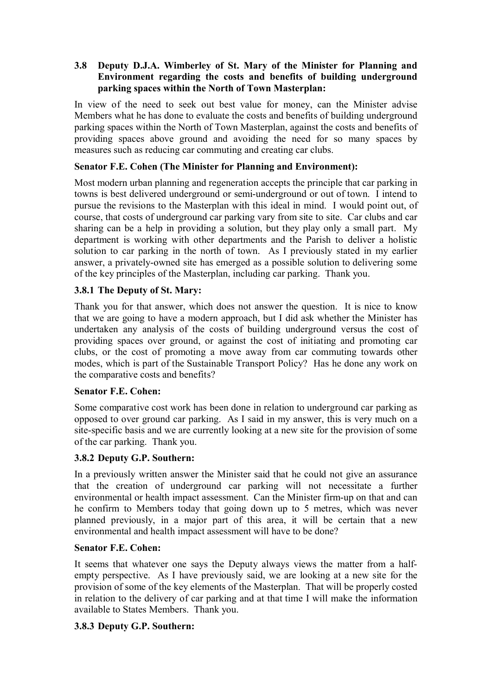## **3.8** � **Deputy D.J.A. Wimberley of St. Mary of the Minister for Planning and Environment regarding the costs and benefits of building underground parking spaces within the North of Town Masterplan:**

In view of the need to seek out best value for money, can the Minister advise Members what he has done to evaluate the costs and benefits of building underground parking spaces within the North of Town Masterplan, against the costs and benefits of providing spaces above ground and avoiding the need for so many spaces by measures such as reducing car commuting and creating car clubs.

## **Senator F.E. Cohen (The Minister for Planning and Environment):**

Most modern urban planning and regeneration accepts the principle that car parking in towns is best delivered underground or semi-underground or out of town. I intend to pursue the revisions to the Masterplan with this ideal in mind. I would point out, of course, that costs of underground car parking vary from site to site. Car clubs and car sharing can be a help in providing a solution, but they play only a small part. My department is working with other departments and the Parish to deliver a holistic solution to car parking in the north of town. As I previously stated in my earlier answer, a privately-owned site has emerged as a possible solution to delivering some of the key principles of the Masterplan, including car parking. Thank you.

# **3.8.1 The Deputy of St. Mary:**

Thank you for that answer, which does not answer the question. It is nice to know that we are going to have a modern approach, but I did ask whether the Minister has undertaken any analysis of the costs of building underground versus the cost of providing spaces over ground, or against the cost of initiating and promoting car clubs, or the cost of promoting a move away from car commuting towards other modes, which is part of the Sustainable Transport Policy? Has he done any work on the comparative costs and benefits?

## **Senator F.E. Cohen:**

Some comparative cost work has been done in relation to underground car parking as opposed to over ground car parking. As I said in my answer, this is very much on a site-specific basis and we are currently looking at a new site for the provision of some of the car parking. Thank you.

## **3.8.2 Deputy G.P. Southern:**

In a previously written answer the Minister said that he could not give an assurance that the creation of underground car parking will not necessitate a further environmental or health impact assessment. Can the Minister firm-up on that and can he confirm to Members today that going down up to 5 metres, which was never planned previously, in a major part of this area, it will be certain that a new environmental and health impact assessment will have to be done?

## **Senator F.E. Cohen:**

It seems that whatever one says the Deputy always views the matter from a halfempty perspective. As I have previously said, we are looking at a new site for the provision of some of the key elements of the Masterplan. That will be properly costed in relation to the delivery of car parking and at that time I will make the information available to States Members. Thank you.

## **3.8.3 Deputy G.P. Southern:**